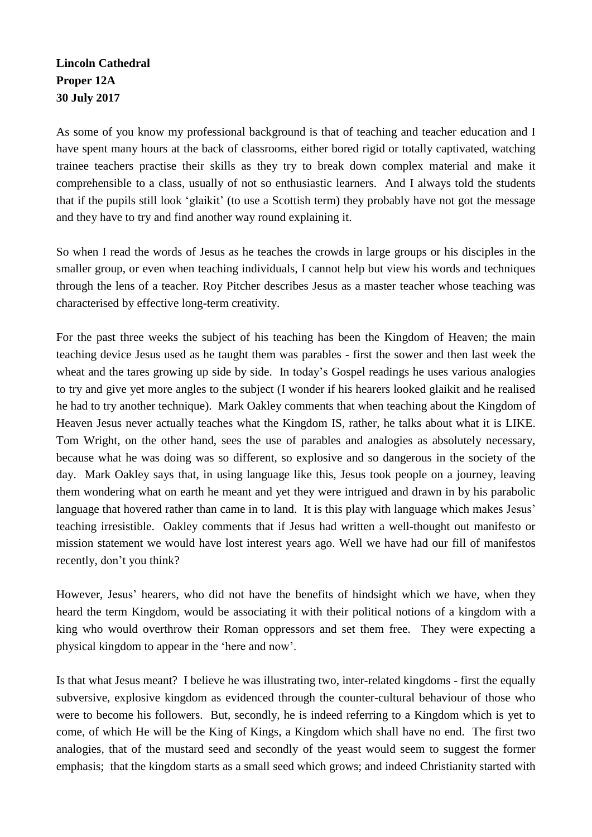## **Lincoln Cathedral Proper 12A 30 July 2017**

As some of you know my professional background is that of teaching and teacher education and I have spent many hours at the back of classrooms, either bored rigid or totally captivated, watching trainee teachers practise their skills as they try to break down complex material and make it comprehensible to a class, usually of not so enthusiastic learners. And I always told the students that if the pupils still look 'glaikit' (to use a Scottish term) they probably have not got the message and they have to try and find another way round explaining it.

So when I read the words of Jesus as he teaches the crowds in large groups or his disciples in the smaller group, or even when teaching individuals, I cannot help but view his words and techniques through the lens of a teacher. Roy Pitcher describes Jesus as a master teacher whose teaching was characterised by effective long-term creativity.

For the past three weeks the subject of his teaching has been the Kingdom of Heaven; the main teaching device Jesus used as he taught them was parables - first the sower and then last week the wheat and the tares growing up side by side. In today's Gospel readings he uses various analogies to try and give yet more angles to the subject (I wonder if his hearers looked glaikit and he realised he had to try another technique). Mark Oakley comments that when teaching about the Kingdom of Heaven Jesus never actually teaches what the Kingdom IS, rather, he talks about what it is LIKE. Tom Wright, on the other hand, sees the use of parables and analogies as absolutely necessary, because what he was doing was so different, so explosive and so dangerous in the society of the day. Mark Oakley says that, in using language like this, Jesus took people on a journey, leaving them wondering what on earth he meant and yet they were intrigued and drawn in by his parabolic language that hovered rather than came in to land. It is this play with language which makes Jesus' teaching irresistible. Oakley comments that if Jesus had written a well-thought out manifesto or mission statement we would have lost interest years ago. Well we have had our fill of manifestos recently, don't you think?

However, Jesus' hearers, who did not have the benefits of hindsight which we have, when they heard the term Kingdom, would be associating it with their political notions of a kingdom with a king who would overthrow their Roman oppressors and set them free. They were expecting a physical kingdom to appear in the 'here and now'.

Is that what Jesus meant? I believe he was illustrating two, inter-related kingdoms - first the equally subversive, explosive kingdom as evidenced through the counter-cultural behaviour of those who were to become his followers. But, secondly, he is indeed referring to a Kingdom which is yet to come, of which He will be the King of Kings, a Kingdom which shall have no end. The first two analogies, that of the mustard seed and secondly of the yeast would seem to suggest the former emphasis; that the kingdom starts as a small seed which grows; and indeed Christianity started with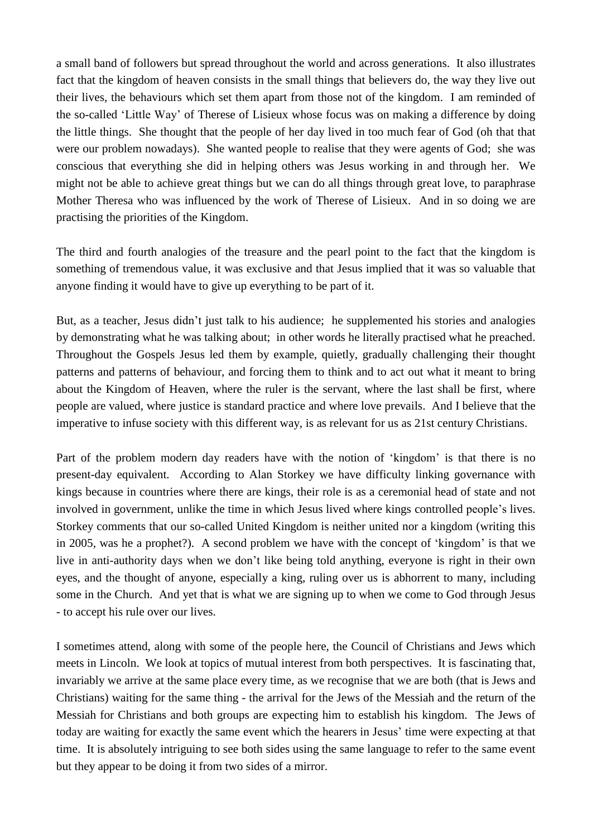a small band of followers but spread throughout the world and across generations. It also illustrates fact that the kingdom of heaven consists in the small things that believers do, the way they live out their lives, the behaviours which set them apart from those not of the kingdom. I am reminded of the so-called 'Little Way' of Therese of Lisieux whose focus was on making a difference by doing the little things. She thought that the people of her day lived in too much fear of God (oh that that were our problem nowadays). She wanted people to realise that they were agents of God; she was conscious that everything she did in helping others was Jesus working in and through her. We might not be able to achieve great things but we can do all things through great love, to paraphrase Mother Theresa who was influenced by the work of Therese of Lisieux. And in so doing we are practising the priorities of the Kingdom.

The third and fourth analogies of the treasure and the pearl point to the fact that the kingdom is something of tremendous value, it was exclusive and that Jesus implied that it was so valuable that anyone finding it would have to give up everything to be part of it.

But, as a teacher, Jesus didn't just talk to his audience; he supplemented his stories and analogies by demonstrating what he was talking about; in other words he literally practised what he preached. Throughout the Gospels Jesus led them by example, quietly, gradually challenging their thought patterns and patterns of behaviour, and forcing them to think and to act out what it meant to bring about the Kingdom of Heaven, where the ruler is the servant, where the last shall be first, where people are valued, where justice is standard practice and where love prevails. And I believe that the imperative to infuse society with this different way, is as relevant for us as 21st century Christians.

Part of the problem modern day readers have with the notion of 'kingdom' is that there is no present-day equivalent. According to Alan Storkey we have difficulty linking governance with kings because in countries where there are kings, their role is as a ceremonial head of state and not involved in government, unlike the time in which Jesus lived where kings controlled people's lives. Storkey comments that our so-called United Kingdom is neither united nor a kingdom (writing this in 2005, was he a prophet?). A second problem we have with the concept of 'kingdom' is that we live in anti-authority days when we don't like being told anything, everyone is right in their own eyes, and the thought of anyone, especially a king, ruling over us is abhorrent to many, including some in the Church. And yet that is what we are signing up to when we come to God through Jesus - to accept his rule over our lives.

I sometimes attend, along with some of the people here, the Council of Christians and Jews which meets in Lincoln. We look at topics of mutual interest from both perspectives. It is fascinating that, invariably we arrive at the same place every time, as we recognise that we are both (that is Jews and Christians) waiting for the same thing - the arrival for the Jews of the Messiah and the return of the Messiah for Christians and both groups are expecting him to establish his kingdom. The Jews of today are waiting for exactly the same event which the hearers in Jesus' time were expecting at that time. It is absolutely intriguing to see both sides using the same language to refer to the same event but they appear to be doing it from two sides of a mirror.